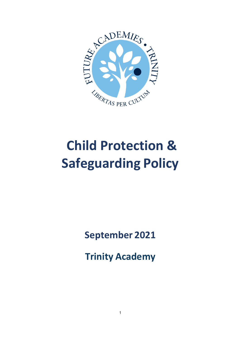

# **Child Protection & Safeguarding Policy**

**September 2021** 

**Trinity Academy**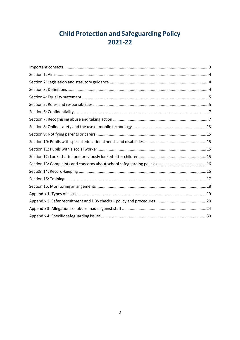# **Child Protection and Safeguarding Policy** 2021-22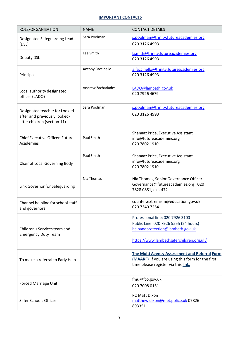# **IMPORTANT CONTACTS**

| ROLE/ORGANISATION                                                                             | <b>NAME</b>        | <b>CONTACT DETAILS</b>                                                                                                                                    |
|-----------------------------------------------------------------------------------------------|--------------------|-----------------------------------------------------------------------------------------------------------------------------------------------------------|
| Designated Safeguarding Lead<br>(DSL)                                                         | Sara Poolman       | s.poolman@trinity.futureacademies.org<br>020 3126 4993                                                                                                    |
| Deputy DSL                                                                                    | Lee Smith          | l.smith@trinity.futureacademies.org<br>020 3126 4993                                                                                                      |
| Principal                                                                                     | Antony Faccinello  | a.faccinello@trinity.futureacademies.org<br>020 3126 4993                                                                                                 |
| Local authority designated<br>officer (LADO)                                                  | Andrew Zachariades | LADO@lambeth.gov.uk<br>020 7926 4679                                                                                                                      |
| Designated teacher for Looked-<br>after and previously looked-<br>after children (section 11) | Sara Poolman       | s.poolman@trinity.futureacademies.org                                                                                                                     |
|                                                                                               |                    | 020 3126 4993                                                                                                                                             |
| Chief Executive Officer, Future<br>Academies                                                  | Paul Smith         | Shanaaz Price, Executive Assistant<br>info@futureacademies.org<br>020 7802 1910                                                                           |
| Chair of Local Governing Body                                                                 | Paul Smith         | Shanaaz Price, Executive Assistant<br>info@futureacademies.org<br>020 7802 1910                                                                           |
| Link Governor for Safeguarding                                                                | Nia Thomas         | Nia Thomas, Senior Governance Officer<br>Governance@futureacademies.org 020<br>7828 0881, ext. 472                                                        |
| Channel helpline for school staff<br>and governors                                            |                    | counter.extremism@education.gov.uk<br>020 7340 7264                                                                                                       |
| Children's Services team and<br><b>Emergency Duty Team</b>                                    |                    | Professional line: 020 7926 3100<br>Public Line: 020 7926 5555 (24 hours)<br>helpandprotection@lambeth.gov.uk<br>https://www.lambethsaferchildren.org.uk/ |
| To make a referral to Early Help                                                              |                    | The Multi Agency Assessment and Referral Form<br>(MAARF) If you are using this form for the first<br>time please register via this link.                  |
| <b>Forced Marriage Unit</b>                                                                   |                    | fmu@fco.gov.uk<br>020 7008 0151                                                                                                                           |
| Safer Schools Officer                                                                         |                    | PC Matt Dixon<br>matthew.dixon@met.police.uk 07826<br>893351                                                                                              |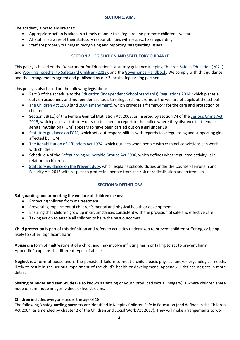# **SECTION 1: AIMS**

The academy aims to ensure that:

- Appropriate action is taken in a timely manner to safeguard and promote children's welfare
- All staff are aware of their statutory responsibilities with respect to safeguarding
- Staff are properly training in recognising and reporting safeguarding issues

# **SECTION 2: LEGISLATION AND STATUTORY GUIDANCE**

This policy is based on the Department for Education's statutory guidance Keeping Children Safe in Education (2021) and Working Together to Safeguard Children (2018), and the Governance Handbook. We comply with this guidance and the arrangements agreed and published by our 3 local safeguarding partners.

This policy is also based on the following legislation:

- Part 3 of the schedule to the Education (Independent School Standards) Regulations 2014, which places a duty on academies and independent schools to safeguard and promote the welfare of pupils at the school
- The Children Act 1989 (and 2004 amendment), which provides a framework for the care and protection of children
- Section 5B(11) of the Female Genital Mutilation Act 2003, as inserted by section 74 of the Serious Crime Act 2015, which places a statutory duty on teachers to report to the police where they discover that female genital mutilation (FGM) appears to have been carried out on a girl under 18
- Statutory guidance on FGM, which sets out responsibilities with regards to safeguarding and supporting girls affected by FGM
- The Rehabilitation of Offenders Act 1974, which outlines when people with criminal convictions can work with children
- Schedule 4 of the Safeguarding Vulnerable Groups Act 2006, which defines what 'regulated activity' is in relation to children
- Statutory guidance on the Prevent duty, which explains schools' duties under the Counter-Terrorism and Security Act 2015 with respect to protecting people from the risk of radicalisation and extremism

# **SECTION 3: DEFINITIONS**

#### **Safeguarding and promoting the welfare of children** means:

- Protecting children from maltreatment
- Preventing impairment of children's mental and physical health or development
- Ensuring that children grow up in circumstances consistent with the provision of safe and effective care
- Taking action to enable all children to have the best outcomes

**Child protection** is part of this definition and refers to activities undertaken to prevent children suffering, or being likely to suffer, significant harm.

**Abuse** is a form of maltreatment of a child, and may involve inflicting harm or failing to act to prevent harm. Appendix 1 explains the different types of abuse.

**Neglect** is a form of abuse and is the persistent failure to meet a child's basic physical and/or psychological needs, likely to result in the serious impairment of the child's health or development. Appendix 1 defines neglect in more detail.

**Sharing of nudes and semi-nudes** (also known as sexting or youth produced sexual imagery) is where children share nude or semi-nude images, videos or live streams.

#### **Children** includes everyone under the age of 18.

The following 3 **safeguarding partners** are identified in Keeping Children Safe in Education (and defined in the Children Act 2004, as amended by chapter 2 of the Children and Social Work Act 2017). They will make arrangements to work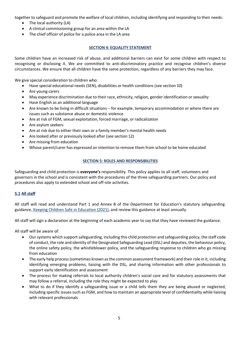together to safeguard and promote the welfare of local children, including identifying and responding to their needs:

- The local authority (LA)
- A clinical commissioning group for an area within the LA
- The chief officer of police for a police area in the LA area

# **SECTION 4: EQUALITY STATEMENT**

Some children have an increased risk of abuse, and additional barriers can exist for some children with respect to recognising or disclosing it. We are committed to anti-discriminatory practice and recognise children's diverse circumstances. We ensure that all children have the same protection, regardless of any barriers they may face.

We give special consideration to children who:

- Have special educational needs (SEN), disabilities or health conditions(see section 10)
- Are young carers
- May experience discrimination due to their race, ethnicity, religion, gender identification or sexuality
- Have English as an additional language
- Are known to be living in difficult situations for example, temporary accommodation or where there are issues such as substance abuse or domestic violence
- Are at risk of FGM, sexual exploitation, forced marriage, or radicalization
- Are asylum seekers
- Are at risk due to either their own or a family member's mental health needs
- Are looked after or previously looked after (see section 12)
- Are missing from education
- Whose parent/carer has expressed an intention to remove them from school to be home educated

# **SECTION 5: ROLES AND RESPONSIBILITIES**

Safeguarding and child protection is **everyone's** responsibility. This policy applies to all staff, volunteers and governors in the school and is consistent with the procedures of the three safeguarding partners. Our policy and procedures also apply to extended school and off-site activities.

# **5.1 All staff**

All staff will read and understand Part 1 and Annex B of the Department for Education's statutory safeguarding guidance, Keeping Children Safe in Education (2021), and review this guidance at least annually.

All staff will sign a declaration at the beginning of each academic year to say that they have reviewed the guidance.

All staff will be aware of:

- Oursystems which supportsafeguarding, including this child protection and safeguarding policy, the staff code of conduct, the role and identity of the Designated Safeguarding Lead (DSL) and deputies, the behaviour policy, the online safety policy, the whistleblower policy, and the safeguarding response to children who go missing from education
- The early help process (sometimes known as the common assessment framework) and their role in it, including identifying emerging problems, liaising with the DSL, and sharing information with other professionals to support early identification and assessment
- The process for making referrals to local authority children's social care and for statutory assessments that may follow a referral, including the role they might be expected to play
- What to do if they identify a safeguarding issue or a child tells them they are being abused or neglected, including specific issues such as FGM, and how to maintain an appropriate level of confidentiality while liaising with relevant professionals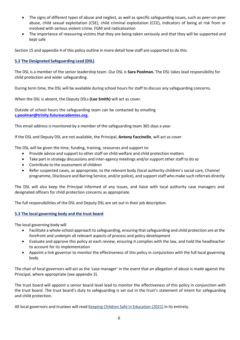- The signs of different types of abuse and neglect, as well as specific safeguarding issues, such as peer-on-peer abuse, child sexual exploitation (CSE), child criminal exploitation (CCE), indicators of being at risk from or involved with serious violent crime, FGM and radicalisation
- The importance of reassuring victims that they are being taken seriously and that they will be supported and kept safe

Section 15 and appendix 4 of this policy outline in more detail how staff are supported to do this.

# **5.2 The Designated Safeguarding Lead (DSL)**

The DSL is a member of the senior leadership team. Our DSL is **Sara Poolman.** The DSL takes lead responsibility for child protection and wider safeguarding.

During term time, the DSL will be available during school hours for staff to discuss any safeguarding concerns.

When the DSL is absent, the Deputy DSLs **(Lee Smith)** will act as cover.

Outside of school hours the safeguarding team can be contacted by emailing **s.poolman@trinity.futureacademies.org.**

This email address is monitored by a member of the safeguarding team 365 days a year.

If the DSL and Deputy DSL are not available, the Principal, **Antony Faccinello**, will act as cover.

The DSL will be given the time, funding, training, resources and support to:

- Provide advice and support to other staff on child welfare and child protection matters
- Take part in strategy discussions and inter-agency meetings and/or support other staff to do so
- Contribute to the assessment of children
- Refer suspected cases, as appropriate, to the relevant body (local authority children's social care, Channel programme, Disclosure and Barring Service, and/or police), and supportstaff who make such referrals directly

The DSL will also keep the Principal informed of any issues, and liaise with local authority case managers and designated officers for child protection concerns as appropriate.

The full responsibilities of the DSL and Deputy DSL are set out in their job description.

#### **5.3 The local governing body and the trust board**

The local governing body will

- Facilitate a whole-school approach to safeguarding, ensuring thatsafeguarding and child protection are at the forefront and underpin all relevant aspects of process and policy development
- Evaluate and approve this policy at each review, ensuring it complies with the law, and hold the headteacher to account for its implementation
- Appoint a link governor to monitor the effectiveness of this policy in conjunction with the full local governing body.

The chair of local governors will act as the 'case manager' in the event that an allegation of abuse is made against the Principal, where appropriate (see appendix 3).

The trust board will appoint a senior board level lead to monitor the effectiveness of this policy in conjunction with the trust board. The trust board's duty to safeguarding is set out in the trust's statement of intent for safeguarding and child protection.

All local governors and trustees will read Keeping Children Safe in Education (2021) in its entirety.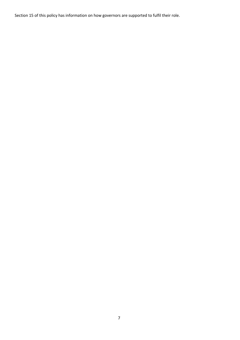Section 15 of this policy has information on how governors are supported to fulfil their role.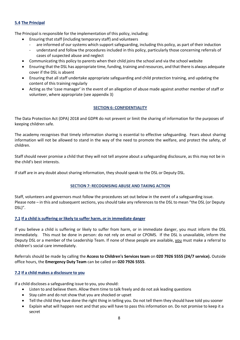# **5.4 The Principal**

The Principal is responsible for the implementation of this policy, including:

- Ensuring that staff (including temporary staff) and volunteers
- are informed of our systems which support safeguarding, including this policy, as part of their induction
- understand and follow the procedures included in this policy, particularly those concerning referrals of cases of suspected abuse and neglect
- Communicating this policy to parents when their child joins the school and via the school website
- Ensuring that the DSL has appropriate time, funding, training and resources, and that there is always adequate cover if the DSL is absent
- Ensuring that all staff undertake appropriate safeguarding and child protection training, and updating the content of this training regularly
- Acting as the 'case manager' in the event of an allegation of abuse made against another member of staff or volunteer, where appropriate (see appendix 3)

# **SECTION 6: CONFIDENTIALITY**

The Data Protection Act (DPA) 2018 and GDPR do not prevent or limit the sharing of information for the purposes of keeping children safe.

The academy recognises that timely information sharing is essential to effective safeguarding. Fears about sharing information will not be allowed to stand in the way of the need to promote the welfare, and protect the safety, of children.

Staff should never promise a child that they will not tell anyone about a safeguarding disclosure, as this may not be in the child's best interests.

If staff are in any doubt about sharing information, they should speak to the DSL or Deputy DSL.

# **SECTION 7: RECOGNISING ABUSE AND TAKING ACTION**

Staff, volunteers and governors must follow the procedures set out below in the event of a safeguarding issue. Please note – in this and subsequent sections, you should take any references to the DSL to mean "the DSL (or Deputy DSL)".

# **7.1 If a child is suffering or likely to suffer harm, or in immediate danger**

If you believe a child is suffering or likely to suffer from harm, or in immediate danger, you must inform the DSL immediately. This must be done in person: do not rely on email or CPOMS. If the DSL is unavailable, inform the Deputy DSL or a member of the Leadership Team. If none of these people are available, you must make a referral to children's social care immediately.

Referrals should be made by calling the **Access to Children's Services team** on **020 7926 5555 (24/7 service).** Outside office hours, the **Emergency Duty Team** can be called on **020 7926 5555**.

# **7.2 If a child makes a disclosure to you**

If a child discloses a safeguarding issue to you, you should:

- Listen to and believe them. Allow them time to talk freely and do not ask leading questions
- Stay calm and do not show that you are shocked or upset
- Tell the child they have done the right thing in telling you. Do not tell them they should have told you sooner
- Explain what will happen next and that you will have to pass this information on. Do not promise to keep it a secret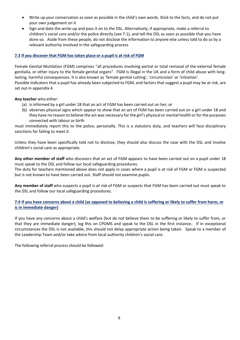- Write up your conversation as soon as possible in the child's own words. Stick to the facts, and do not put your own judgement on it
- Sign and date the write-up and pass it on to the DSL. Alternatively, if appropriate, make a referral to children's social care and/or the police directly (see 7.1), and tell the DSL as soon as possible that you have done so. Aside from these people, do not disclose the information to anyone else unless told to do so by a relevant authority involved in the safeguarding process

# **7.3 If you discover that FGM has taken place or a pupil is at risk of FGM**

Female Genital Mutilation (FGM) comprises "all procedures involving partial or total removal of the external female genitalia, or other injury to the female genital organs". FGM is illegal in the UK and a form of child abuse with longlasting, harmful consequences. It is also known as 'female genital cutting', 'circumcision' or 'initiation'. Possible indicators that a pupil has already been subjected to FGM, and factors that suggest a pupil may be at risk, are set out in appendix 4.

# **Any teacher** who either:

- (a) is informed by a girl under 18 that an act of FGM has been carried out on her; or
- (b) observes physical signs which appear to show that an act of FGM has been carried out on a girl under 18 and they have no reason to believe the act was necessary for the girl's physical or mental health or for the purposes connected with labour or birth

must immediately report this to the police, personally. This is a statutory duty, and teachers will face disciplinary sanctions for failing to meet it.

Unless they have been specifically told not to disclose, they should also discuss the case with the DSL and involve children's social care as appropriate.

**Any other member of staff** who discovers that an act of FGM appears to have been carried out on a pupil under 18 must speak to the DSL and follow our local safeguarding procedures.

The duty for teachers mentioned above does not apply in cases where a pupil is *at risk* of FGM or FGM is suspected but is not known to have been carried out. Staff should not examine pupils.

**Any member of staff** who suspects a pupil is *at risk* of FGM or suspects that FGM has been carried out must speak to the DSL and follow our local safeguarding procedures.

# 7.4 If you have concerns about a child (as opposed to believing a child is suffering or likely to suffer from harm, or **is in immediate danger)**

If you have any concerns about a child's welfare (but do not believe them to be suffering or likely to suffer from, or that they are immediate danger), log this on CPOMS and speak to the DSL in the first instance. If in exceptional circumstances the DSL is not available, this should not delay appropriate action being taken. Speak to a member of the Leadership Team and/or take advice from local authority children's social care.

The following referral process should be followed: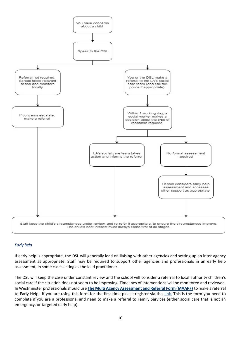

# *Early help*

If early help is appropriate, the DSL will generally lead on liaising with other agencies and setting up an inter-agency assessment as appropriate. Staff may be required to support other agencies and professionals in an early help assessment, in some cases acting as the lead practitioner.

The DSL will keep the case under constant review and the school will consider a referral to local authority children's social care if the situation does not seem to be improving. Timelines of interventions will be monitored and reviewed. In Westminster professionalsshould use **The Multi Agency Assessment and Referral Form (MAARF)** to make a referral to Early Help. If you are using this form for the first time please register via this link. This is the form you need to complete if you are a professional and need to make a referral to Family Services (either social care that is not an emergency, or targeted early help).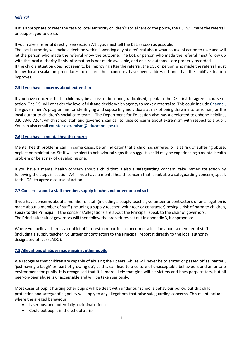# *Referral*

If it is appropriate to refer the case to local authority children's social care or the police, the DSL will make the referral or support you to do so.

If you make a referral directly (see section 7.1), you must tell the DSL as soon as possible.

The local authority will make a decision within 1 working day of a referral about what course of action to take and will let the person who made the referral know the outcome. The DSL or person who made the referral must follow up with the local authority if this information is not made available, and ensure outcomes are properly recorded.

If the child's situation does not seem to be improving after the referral, the DSL or person who made the referral must follow local escalation procedures to ensure their concerns have been addressed and that the child's situation improves.

#### **7.5 If you have concerns about extremism**

If you have concerns that a child may be at risk of becoming radicalised, speak to the DSL first to agree a course of action. The DSL will consider the level ofrisk and decide which agency to make a referral to. This could include Channel, the government's programme for identifying and supporting individuals at risk of being drawn into terrorism, or the local authority children's social care team. The Department for Education also has a dedicated telephone helpline, 020 7340 7264, which school staff and governors can call to raise concerns about extremism with respect to a pupil. You can also email counter.extremism@education.gov.uk

#### **7.6 If you have a mental health concern**

Mental health problems can, in some cases, be an indicator that a child has suffered or is at risk of suffering abuse, neglect or exploitation. Staff will be alert to behavioural signs that suggest a child may be experiencing a mental health problem or be at risk of developing one.

If you have a mental health concern about a child that is also a safeguarding concern, take immediate action by following the steps in section 7.4. If you have a mental health concern that is **not** also a safeguarding concern, speak to the DSL to agree a course of action.

# **7.7 Concerns about a staff member,supply teacher, volunteer or contract**

If you have concerns about a member of staff (including a supply teacher, volunteer or contractor), or an allegation is made about a member of staff (including a supply teacher, volunteer or contractor) posing a risk of harm to children, **speak to the Principal**. If the concerns/allegations are about the Principal, speak to the chair of governors. The Principal/chair of governors will then follow the procedures set out in appendix 3, if appropriate.

Where you believe there is a conflict of interest in reporting a concern or allegaion about a member of staff (including a supply teacher, volunteer or contractor) to the Principal, report it directly to the local authority designated officer (LADO).

# **7.8 Allegations of abuse made against other pupils**

We recognise that children are capable of abusing their peers. Abuse will never be tolerated or passed off as 'banter', 'just having a laugh' or 'part of growing up', as this can lead to a culture of unacceptable behaviours and an unsafe environment for pupils. It is recognised that it is more likely that girls will be victims and boys perpetrators, but all peer-on-peer abuse is unacceptable and will be taken seriously.

Most cases of pupils hurting other pupils will be dealt with under our school's behaviour policy, but this child protection and safeguarding policy will apply to any allegations that raise safeguarding concerns. This might include where the alleged behaviour:

- Is serious, and potentially a criminal offence
- Could put pupils in the school at risk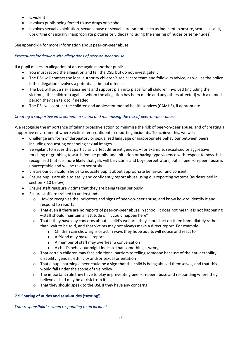- Is violent
- Involves pupils being forced to use drugs or alcohol
- Involves sexual exploitation, sexual abuse or sexual harassment, such as indecent exposure, sexual assault, upskirting or sexually inappropriate pictures or videos (including the sharing of nudes or semi-nudes)

See appendix 4 for more information about peer-on-peer abuse

# *Proceduresfor dealing with allegations of peer-on-peer abuse*

If a pupil makes an allegation of abuse against another pupil:

- You must record the allegation and tell the DSL, but do not investigate it
- The DSL will contact the local authority children's social care team and follow its advice, as well as the police if the allegation involves a potential criminal offence
- The DSL will put a risk assessment and support plan into place for all children involved (including the victim(s), the child(ren) against whom the allegation has been made and any others affected) with a named person they can talk to if needed
- The DSL will contact the children and adolescent mental health services (CAMHS), if appropriate

# *Creating a supportive environment in school and minimising the risk of peer-on-peer abuse*

We recognise the importance of taking proactive action to minimise the risk of peer-on-peer abuse, and of creating a supportive environment where victims feel confident in reporting incidents. To achieve this, we will:

- Challenge any form of derogatory or sexualised language or inappropriate behaviour between peers, including requesting or sending sexual images
- Be vigilant to issues that particularly affect different genders for example, sexualised or aggressive touching or grabbing towards female pupils, and initiation or hazing type violence with respect to boys. It is recognised that it is more likely that girls will be victims and boys perpetrators, but all peer-on-peer abuse is unacceptable and will be taken seriously.
- Ensure our curriculum helps to educate pupils about appropriate behaviour and consent
- Ensure pupils are able to easily and confidently report abuse using our reporting systems (as described in section 7.10 below)
- Ensure staff reassure victims that they are being taken seriously
- Ensure staff are trained to understand:
	- $\circ$  How to recognise the indicators and signs of peer-on-peer abuse, and know how to identify it and respond to reports
	- o That even if there are no reports of peer-on-peer abuse in school, it does not mean it is not happening – staff should maintain an attitude of "it could happen here"
	- $\circ$  That if they have any concerns about a child's welfare, they should act on them immediately rather than wait to be told, and that victims may not always make a direct report. For example:
		- Children can show signs or act in ways they hope adults will notice and react to
		- A friend may make a report
		- A member of staff may overhear a conversation
		- A child's behaviour might indicate that something is wrong
	- o That certain children may face additional barriers to telling someone because of their vulnerability, disability, gender, ethnicity and/or sexual orientation
	- $\circ$  That a pupil harming a peer could be a sign that the child is being abused themselves, and that this would fall under the scope of this policy
	- $\circ$  The important role they have to play in preventing peer-on-peer abuse and responding where they believe a child may be at risk from it
	- o That they should speak to the DSL if they have any concerns

# **7.9 Sharing of nudes and semi-nudes ('sexting')**

*Your responsibilities when responding to an incident*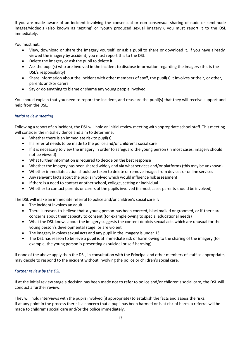If you are made aware of an incident involving the consensual or non-consensual sharing of nude or semi-nude images/viddeols (also known as 'sexting' or 'youth produced sexual imagery'), you must report it to the DSL immediately.

You must **not**:

- View, download or share the imagery yourself, or ask a pupil to share or download it. If you have already viewed the imagery by accident, you must report this to the DSL
- Delete the imagery or ask the pupil to delete it
- Ask the pupil(s) who are involved in the incident to disclose information regarding the imagery (this is the DSL's responsibility)
- Share information about the incident with other members of staff, the pupil(s) it involves or their, or other, parents and/or carers
- Say or do anything to blame or shame any young people involved

You should explain that you need to report the incident, and reassure the pupil(s) that they will receive support and help from the DSL.

# *Initial review meeting*

Following a report of an incident, the DSL will hold an initialreview meeting with appropriate schoolstaff. This meeting will consider the initial evidence and aim to determine:

- Whether there is an immediate risk to pupil(s)
- If a referral needs to be made to the police and/or children's social care
- If it is necessary to view the imagery in order to safeguard the young person (in most cases, imagery should not be viewed)
- What further information is required to decide on the best response
- Whether the imagery has been shared widely and via what services and/or platforms (this may be unknown)
- Whether immediate action should be taken to delete or remove images from devices or online services
- Any relevant facts about the pupils involved which would influence risk assessment
- If there is a need to contact another school, college, setting or individual
- Whether to contact parents or carers of the pupils involved (in most cases parents should be involved)

The DSL will make an immediate referral to police and/or children's social care if:

- The incident involves an adult
- There is reason to believe that a young person has been coerced, blackmailed or groomed, or if there are concerns about their capacity to consent (for example owing to special educational needs)
- What the DSL knows about the imagery suggests the content depicts sexual acts which are unusual for the young person's developmental stage, or are violent
- The imagery involves sexual acts and any pupil in the imagery is under 13
- The DSL has reason to believe a pupil is at immediate risk of harm owing to the sharing of the imagery (for example, the young person is presenting as suicidal or self-harming)

If none of the above apply then the DSL, in consultation with the Principal and other members of staff as appropriate, may decide to respond to the incident without involving the police or children's social care.

# *Further review by the DSL*

If at the initial review stage a decision has been made not to refer to police and/or children's social care, the DSL will conduct a further review.

They will hold interviews with the pupils involved (if appropriate) to establish the facts and assess the risks. If at any point in the process there is a concern that a pupil has been harmed or is at risk of harm, a referral will be made to children's social care and/or the police immediately.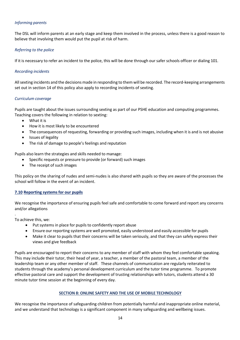# *Informing parents*

The DSL will inform parents at an early stage and keep them involved in the process, unless there is a good reason to believe that involving them would put the pupil at risk of harm.

# *Referring to the police*

If it is necessary to refer an incident to the police, this will be done through our safer schools officer or dialing 101.

#### *Recording incidents*

Allsexting incidents and the decisions made in responding to them will be recorded. The record-keeping arrangements set out in section 14 of this policy also apply to recording incidents of sexting.

#### *Curriculum coverage*

Pupils are taught about the issues surrounding sexting as part of our PSHE education and computing programmes. Teaching covers the following in relation to sexting:

- What it is
- How it is most likely to be encountered
- The consequences of requesting, forwarding or providing such images, including when it is and is not abusive
- Issues of legality
- The risk of damage to people's feelings and reputation

Pupils also learn the strategies and skills needed to manage:

- Specific requests or pressure to provide (or forward) such images
- The receipt of such images

This policy on the sharing of nudes and semi-nudes is also shared with pupils so they are aware of the processes the school will follow in the event of an incident.

# **7.10 Reporting systems for our pupils**

We recognise the importance of ensuring pupils feel safe and comfortable to come forward and report any concerns and/or allegations

. To achieve this, we:

- Put systems in place for pupils to confidently report abuse
- Ensure our reporting systems are well promoted, easily understood and easily accessible for pupils
- Make it clear to pupils that their concerns will be taken seriously, and that they can safely express their views and give feedback

Pupils are encouraged to report their concerns to any member of staff with whom they feel comfortable speaking. This may include their tutor, their head of year, a teacher, a member of the pastoral team, a member of the leadership team or any other member of staff. These channels of communication are regularly reiterated to students through the academy's personal development curriculum and the tutor time programme. To promote effective pastoral care and support the development of trusting relationships with tutors, students attend a 30 minute tutor time session at the beginning of every day.

# **SECTION 8: ONLINE SAFETY AND THE USE OF MOBILE TECHNOLOGY**

We recognise the importance of safeguarding children from potentially harmful and inappropriate online material, and we understand that technology is a significant component in many safeguarding and wellbeing issues.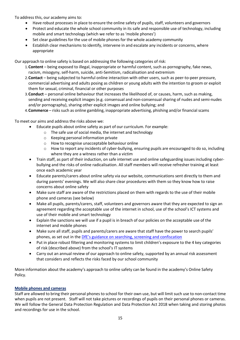To address this, our academy aims to:

- Have robust processes in place to ensure the online safety of pupils, staff, volunteers and governors
- Protect and educate the whole school community in its safe and responsible use of technology, including mobile and smart technology (which we refer to as 'mobile phones')
- Set clear guidelines for the use of mobile phones for the whole academy community
- Establish clear mechanisms to identify, intervene in and escalate any incidents or concerns, where appropriate

Our approach to online safety is based on addressing the following categories of risk:

- 1.**Content** being exposed to illegal, inappropriate or harmful content, such as pornography, fake news, racism, misogyny, self-harm, suicide, anti-Semitism, radicalisation and extremism
- 2.**Contact**  being subjected to harmful online interaction with other users, such as peer-to-peer pressure, commercial advertising and adults posing as children or young adults with the intention to groom or exploit them for sexual, criminal, financial or other purposes
- 3.**Conduct**  personal online behaviour that increases the likelihood of, or causes, harm, such as making, sending and receiving explicit images (e.g. consensual and non-consensual sharing of nudes and semi-nudes and/or pornography), sharing other explicit images and online bullying; and
- 4. Commerce risks such as online gambling, inappropriate advertising, phishing and/or financial scams

To meet our aims and address the risks above we:

- Educate pupils about online safety as part of our curriculum. For example:
	- o The safe use of social media, the internet and technology
	- o Keeping personal information private
	- o How to recognise unacceptable behaviour online
	- $\circ$  How to report any incidents of cyber-bullying, ensuring pupils are encouraged to do so, including where they are a witness rather than a victim
- Train staff, as part of their induction, on safe internet use and online safeguarding issues including cyberbullying and the risks of online radicalisation. All staff members will receive refresher training at least once each academic year
- Educate parents/carers about online safety via our website, communications sent directly to them and during parents' evenings. We will also share clear procedures with them so they know how to raise concerns about online safety
- Make sure staff are aware of the restrictions placed on them with regards to the use of their mobile phone and cameras (see below)
- Make all pupils, parents/carers, staff, volunteers and governors aware that they are expected to sign an agreement regarding the acceptable use of the internet in school, use of the school's ICT systems and use of their mobile and smart technology
- Explain the sanctions we will use if a pupil is in breach of our policies on the acceptable use of the internet and mobile phones
- Make sure all staff, pupils and parents/carers are aware that staff have the power to search pupils' phones, as set out in the DfE's guidance on searching, screening and confiscation
- Put in place robust filtering and monitoring systems to limit children's exposure to the 4 key categories of risk (described above) from the school's IT systems
- Carry out an annual review of our approach to online safety, supported by an annual risk assessment that considers and reflects the risks faced by our school community

More information about the academy's approach to online safety can be found in the academy's Online Safety Policy.

# **Mobile phones and cameras**

Staff are allowed to bring their personal phones to school for their own use, but will limit such use to non-contact time when pupils are not present. Staff will not take pictures or recordings of pupils on their personal phones or cameras. We will follow the General Data Protection Regulation and Data Protection Act 2018 when taking and storing photos and recordings for use in the school.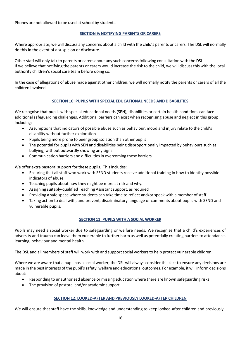Phones are not allowed to be used at school by students.

# **SECTION 9: NOTIFYING PARENTS OR CARERS**

Where appropriate, we will discuss any concerns about a child with the child's parents or carers. The DSL will normally do this in the event of a suspicion or disclosure.

Other staff will only talk to parents or carers about any such concerns following consultation with the DSL. If we believe that notifying the parents or carers would increase the risk to the child, we will discuss this with the local authority children's social care team before doing so.

In the case of allegations of abuse made against other children, we will normally notify the parents or carers of all the children involved.

# **SECTION 10: PUPILS WITH SPECIAL EDUCATIONAL NEEDS AND DISABILITIES**

We recognise that pupils with special educational needs (SEN), disabilities or certain health conditions can face additional safeguarding challenges. Additional barriers can exist when recognising abuse and neglect in this group, including:

- Assumptions that indicators of possible abuse such as behaviour, mood and injury relate to the child's disability without further exploration
- Pupils being more prone to peer group isolation than other pupils
- The potential for pupils with SEN and disabilities being disproportionally impacted by behaviours such as bullying, without outwardly showing any signs
- Communication barriers and difficulties in overcoming these barriers

We offer extra pastoral support for these pupils. This includes:

- Ensuring that all staff who work with SEND students receive additional training in how to identify possible indicators of abuse
- Teaching pupils about how they might be more at risk and why.
- Assigning suitably-qualified Teaching Assistant support, as required
- Providing a safe space where students can take time to reflect and/or speak with a member of staff
- Taking action to deal with, and prevent, discriminatory language or comments about pupils with SEND and vulnerable pupils.

# **SECTION 11: PUPILS WITH A SOCIAL WORKER**

Pupils may need a social worker due to safeguarding or welfare needs. We recognise that a child's experiences of adversity and trauma can leave them vulnerable to further harm as well as potentially creating barriers to attendance, learning, behaviour and mental health.

The DSL and all members of staff will work with and support social workers to help protect vulnerable children.

Where we are aware that a pupil has a social worker, the DSL will always consider this fact to ensure any decisions are made in the best interests of the pupil'ssafety, welfare and educational outcomes. For example, it will inform decisions about:

- Responding to unauthorised absence or missing education where there are known safeguarding risks
- The provision of pastoral and/or academic support

# **SECTION 12: LOOKED-AFTER AND PREVIOUSLY LOOKED-AFTER CHILDREN**

We will ensure that staff have the skills, knowledge and understanding to keep looked-after children and previously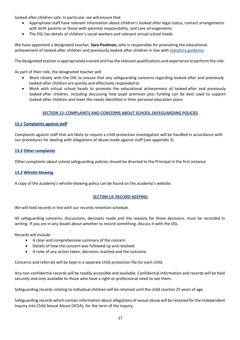looked-after children safe. In particular, we will ensure that:

- Appropriate staff have relevant information about children's looked after legal status, contact arrangements with birth parents or those with parental responsibility, and care arrangements
- The DSL has details of children's social workers and relevant virtual school heads

We have appointed a designated teacher, **Sara Poolman,** who is responsible for promoting the educational achievement of looked-after children and previously looked-after children in line with statutory guidance.

The designated teacheris appropriately trained and hasthe relevant qualifications and experience to perform the role.

As part of their role, the designated teacher will:

- Work closely with the DSL to ensure that any safeguarding concerns regarding looked-after and previously looked-after children are quickly and effectively responded to
- Work with virtual school heads to promote the educational achievement of looked-after and previously looked-after children, including discussing how pupil premium plus funding can be best used to support looked-after children and meet the needs identified in their personal education plans

#### **SECTION 13: COMPLAINTS AND CONCERNS ABOUT SCHOOL SAFEGUARDING POLICIES**

#### **13.1 Complaints against staff**

Complaints against staff that are likely to require a child protection investigation will be handled in accordance with our procedures for dealing with allegations of abuse made against staff (see appendix 3).

#### **13.2 Other complaints**

Other complaints about school safeguarding policies should be directed to the Principal in the first instance.

#### **13.3 Whistle-blowing**

A copy of the academy's whistle-blowing policy can be found on the academy's website.

#### **SECTI0N 14: RECORD-KEEPING**

We will hold records in line with our records retention schedule.

All safeguarding concerns, discussions, decisions made and the reasons for those decisions, must be recorded in writing. If you are in any doubt about whether to record something, discuss it with the DSL.

Records will include:

- A clear and comprehensive summary of the concern
- Details of how the concern was followed up and resolved
- A note of any action taken, decisions reached and the outcome

Concerns and referrals will be kept in a separate child protection file for each child.

Any non-confidential records will be readily accessible and available. Confidential information and records will be held securely and only available to those who have a right or professional need to see them.

Safeguarding records relating to individual children will be retained until the child reaches 25 years of age.

Safeguarding records which contain information about allegations of sexual abuse will be retained for the Independent Inquiry into Child Sexual Abuse (IICSA), for the term of the inquiry.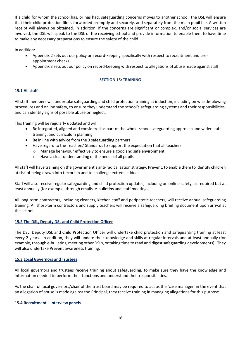If a child for whom the school has, or has had, safeguarding concerns moves to another school, the DSL will ensure that their child protection file is forwarded promptly and securely, and separately from the main pupil file. A written receipt will always be obtained. In addition, if the concerns are significant or complex, and/or social services are involved, the DSL will speak to the DSL of the receiving school and provide information to enable them to have time to make any necessary preparations to ensure the safety of the child.

In addition:

- Appendix 2 sets out our policy on record-keeping specifically with respect to recruitment and preappointment checks
- Appendix 3 sets out our policy on record-keeping with respect to allegations of abuse made against staff

# **SECTION 15: TRAINING**

# **15.1 All staff**

All staff members will undertake safeguarding and child protection training at induction, including on whistle-blowing procedures and online safety, to ensure they understand the school's safeguarding systems and their responsibilities, and can identify signs of possible abuse or neglect.

This training will be regularly updated and will

- Be integrated, aligned and considered as part of the whole-school safeguarding approach and wider staff training, and curriculum planning
- Be in line with advice from the 3 safeguarding partners
- Have regard to the Teachers' Standards to support the expectation that all teachers:
	- o Manage behaviour effectively to ensure a good and safe environment
	- o Have a clear understanding of the needs of all pupils

Allstaff will have training on the government's anti-radicalisation strategy, Prevent, to enable them to identify children at risk of being drawn into terrorism and to challenge extremist ideas.

Staff will also receive regular safeguarding and child protection updates, including on online safety, as required but at least annually (for example, through emails, e-bulletins and staff meetings).

All long-term contractors, including cleaners, kitchen staff and peripatetic teachers, will receive annual safeguarding training. All short-term contractors and supply teachers will receive a safeguarding briefing document upon arrival at the school.

# **15.2 The DSL, Deputy DSL and Child Protection Officer**

The DSL, Deputy DSL and Child Protection Officer will undertake child protection and safeguarding training at least every 2 years. In addition, they will update their knowledge and skills at regular intervals and at least annually (for example, through e-bulletins, meeting other DSLs, or taking time to read and digestsafeguarding developments). They will also undertake Prevent awareness training.

#### **15.3 Local Governors and Trustees**

All local governors and trustees receive training about safeguarding, to make sure they have the knowledge and information needed to perform their functions and understand their responsibilities.

As the chair of local governors/chair of the trust board may be required to act as the 'case manager' in the event that an allegation of abuse is made against the Principal, they receive training in managing allegations for this purpose.

#### **15.4 Recruitment – interview panels**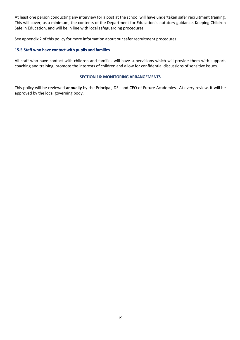At least one person conducting any interview for a post at the school will have undertaken safer recruitment training. This will cover, as a minimum, the contents of the Department for Education's statutory guidance, Keeping Children Safe in Education, and will be in line with local safeguarding procedures.

See appendix 2 of this policy for more information about our safer recruitment procedures.

# **15.5 Staff who have contact with pupils and families**

All staff who have contact with children and families will have supervisions which will provide them with support, coaching and training, promote the interests of children and allow for confidential discussions of sensitive issues.

#### **SECTION 16: MONITORING ARRANGEMENTS**

This policy will be reviewed **annually** by the Principal, DSL and CEO of Future Academies. At every review, it will be approved by the local governing body.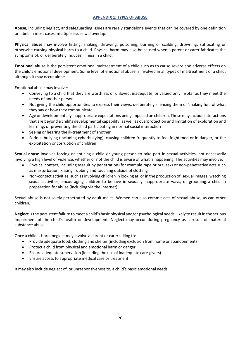#### **APPENDIX 1: TYPES OF ABUSE**

**Abuse**, including neglect, and safeguarding issues are rarely standalone events that can be covered by one definition or label. In most cases, multiple issues will overlap.

**Physical abuse** may involve hitting, shaking, throwing, poisoning, burning or scalding, drowning, suffocating or otherwise causing physical harm to a child. Physical harm may also be caused when a parent or carer fabricates the symptoms of, or deliberately induces, illness in a child.

**Emotional abuse** is the persistent emotional maltreatment of a child such as to cause severe and adverse effects on the child's emotional development. Some level of emotional abuse is involved in all types of maltreatment of a child, although it may occur alone.

Emotional abuse may involve:

- Conveying to a child that they are worthless or unloved, inadequate, or valued only insofar as they meet the needs of another person
- Not giving the child opportunities to express their views, deliberately silencing them or 'making fun' of what they say or how they communicate
- Age or developmentally inappropriate expectations being imposed on children. These may include interactions that are beyond a child's developmental capability, as well as overprotection and limitation of exploration and learning, or preventing the child participating in normal social interaction
- Seeing or hearing the ill-treatment of another
- Serious bullying (including cyberbullying), causing children frequently to feel frightened or in danger, or the exploitation or corruption of children

**Sexual abuse** involves forcing or enticing a child or young person to take part in sexual activities, not necessarily involving a high level of violence, whether or not the child is aware of what is happening. The activities may involve:

- Physical contact, including assault by penetration (for example rape or oral sex) or non-penetrative acts such as masturbation, kissing, rubbing and touching outside of clothing
- Non-contact activities, such as involving children in looking at, or in the production of, sexual images, watching sexual activities, encouraging children to behave in sexually inappropriate ways, or grooming a child in preparation for abuse (including via the internet)

Sexual abuse is not solely perpetrated by adult males. Women can also commit acts of sexual abuse, as can other children.

**Neglect** is the persistent failure to meet a child's basic physical and/or psychological needs, likely to result in the serious impairment of the child's health or development. Neglect may occur during pregnancy as a result of maternal substance abuse.

Once a child is born, neglect may involve a parent or carer failing to:

- Provide adequate food, clothing and shelter (including exclusion from home or abandonment)
- Protect a child from physical and emotional harm or danger
- Ensure adequate supervision (including the use of inadequate care-givers)
- Ensure access to appropriate medical care or treatment

It may also include neglect of, or unresponsiveness to, a child's basic emotional needs.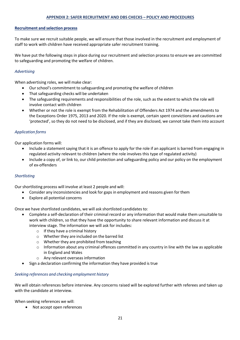#### **APPENDIX 2: SAFER RECRUITMENT AND DBS CHECKS – POLICY AND PROCEDURES**

#### **Recruitment and selection process**

To make sure we recruit suitable people, we will ensure that those involved in the recruitment and employment of staff to work with children have received appropriate safer recruitment training.

We have put the following steps in place during our recruitment and selection process to ensure we are committed to safeguarding and promoting the welfare of children.

#### *Advertising*

When advertising roles, we will make clear:

- Ourschool's commitment to safeguarding and promoting the welfare of children
- That safeguarding checks will be undertaken
- The safeguarding requirements and responsibilities of the role, such as the extent to which the role will involve contact with children
- Whether or not the role is exempt from the Rehabilitation of Offenders Act 1974 and the amendments to the Exceptions Order 1975, 2013 and 2020. If the role is exempt, certain spent convictions and cautions are 'protected', so they do not need to be disclosed, and if they are disclosed, we cannot take them into account

#### *Application forms*

Our application forms will:

- Include a statement saying that it is an offence to apply for the role if an applicant is barred from engaging in regulated activity relevant to children (where the role involves this type of regulated activity)
- Include a copy of, or link to, our child protection and safeguarding policy and our policy on the employment of ex-offenders

#### *Shortlisting*

Our shortlisting process will involve at least 2 people and will:

- Consider any inconsistencies and look for gaps in employment and reasons given for them
- Explore all potential concerns

Once we have shortlisted candidates, we will ask shortlisted candidates to:

- Complete a self-declaration of their criminal record or any information that would make them unsuitable to work with children, so that they have the opportunity to share relevant information and discuss it at interview stage. The information we will ask for includes:
	- o If they have a criminal history
	- o Whether they are included on the barred list
	- o Whether they are prohibited from teaching
	- $\circ$  Information about any criminal offences committed in any country in line with the law as applicable in England and Wales
	- o Any relevant overseas information
- Sign a declaration confirming the information they have provided is true

#### *Seeking references and checking employment history*

We will obtain references before interview. Any concerns raised will be explored further with referees and taken up with the candidate at interview.

When seeking references we will:

• Not accept open references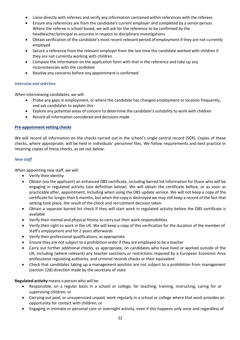- Liaise directly with referees and verify any information contained within references with the referees
- Ensure any references are from the candidate's current employer and completed by a senior person. Where the referee is school based, we will ask for the reference to be confirmed by the headteacher/principal as accurate in respect to disciplinary investigations
- Obtain verification of the candidate's most recent relevant period of employment if they are not currently employed
- Secure a reference from the relevant employer from the last time the candidate worked with children if they are not currently working with children
- Compare the information on the application form with that in the reference and take up any inconsistencies with the candidate
- Resolve any concerns before any appointment is confirmed

#### *Interview and selection*

When interviewing candidates, we will:

- Probe any gaps in employment, or where the candidate has changed employment or location frequently, and ask candidates to explain this
- Explore any potential areas of concern to determine the candidate's suitability to work with children
- Record all information considered and decisions made

#### **Pre-appoinment vetting checks**

We will record all information on the checks carried out in the school's single central record (SCR). Copies of these checks, where appropriate, will be held in individuals' personnel files. We follow requirements and best practice in retaining copies of these checks, as set out below.

#### *New staff*

When appointing new staff, we will:

- Verify their identity
- Obtain (via the applicant) an enhanced DBS certificate, including barred list information for those who will be engaging in regulated activity (see definition below). We will obtain the certificate before, or as soon as practicable after, appointment, including when using the DBS update service. We will not keep a copy of the certificate for longer than 6 months, but when the copy is destroyed we may still keep a record of the fact that vetting took place, the result of the check and recruitment decision taken
- Obtain a separate barred list check if they will start work in regulated activity before the DBS certificate is available
- Verify their mental and physical fitness to carry out their work responsibilities
- Verify their right to work in the UK. We will keep a copy of this verification for the duration of the member of staff's employment and for 2 years afterwards
- Verify their professional qualifications, as appropriate
- Ensure they are not subject to a prohibition order if they are employed to be a teacher
- Carry out further additional checks, as appropriate, on candidates who have lived or worked outside of the UK, including (where relevant) any teacher sanctions or restrictions imposed by a European Economic Area professional regulating authority, and criminal records checks or their equivalent
- Check that candidates taking up a management position are not subject to a prohibition from management (section 128) direction made by the secretary of state

**Regulated activity** means a person who will be:

- Responsible, on a regular basis in a school or college, for teaching, training, instructing, caring for or supervising children; or
- Carrying out paid, or unsupervised unpaid, work regularly in a school or college where that work provides an opportunity for contact with children; or
- Engaging in intimate or personal care or overnight activity, even if this happens only once and regardless of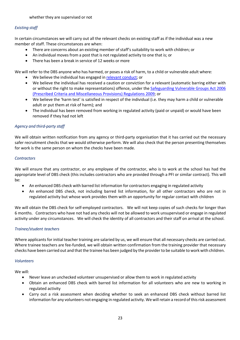# *Existing staff*

In certain circumstances we will carry out all the relevant checks on existing staff as if the individual was a new member of staff. These circumstances are when:

- There are concerns about an existing member of staff's suitability to work with children; or
- An individual moves from a post that is not regulated activity to one that is; or
- There has been a break in service of 12 weeks or more

We will refer to the DBS anyone who has harmed, or poses a risk of harm, to a child or vulnerable adult where:

- We believe the individual has engaged in relevant conduct; or
- We believe the individual has received a caution or conviction for a relevant (automatic barring either with or without the right to make representations) offence, under the Safeguarding Vulnerable Groups Act 2006 (Prescribed Criteria and Miscellaneous Provisions) Regulations 2009; or
- We believe the 'harm test' is satisfied in respect of the individual (i.e. they may harm a child or vulnerable adult or put them at risk of harm); and
- The individual has been removed from working in regulated activity (paid or unpaid) or would have been removed if they had not left

# *Agency and third-party staff*

We will obtain written notification from any agency or third-party organisation that it has carried out the necessary safer recruitment checks that we would otherwise perform. We will also check that the person presenting themselves for work is the same person on whom the checks have been made.

#### *Contractors*

We will ensure that any contractor, or any employee of the contractor, who is to work at the school has had the appropriate level of DBS check (this includes contractors who are provided through a PFI or similar contract). This will be:

- An enhanced DBS check with barred list information for contractors engaging in regulated activity
- An enhanced DBS check, not including barred list information, for all other contractors who are not in regulated activity but whose work provides them with an opportunity for regular contact with children

We will obtain the DBS check for self-employed contractors. We will not keep copies of such checks for longer than 6 months. Contractors who have not had any checks will not be allowed to work unsupervised or engage in regulated activity under any circumstances. We will check the identity of all contractors and their staff on arrival at the school.

# *Trainee/student teachers*

Where applicants for initial teacher training are salaried by us, we will ensure that all necessary checks are carried out. Where trainee teachers are fee-funded, we will obtain written confirmation from the training provider that necessary checks have been carried out and that the trainee has been judged by the providerto be suitable to work with children.

#### *Volunteers*

We will:

- Never leave an unchecked volunteer unsupervised or allow them to work in regulated activity
- Obtain an enhanced DBS check with barred list information for all volunteers who are new to working in regulated activity
- Carry out a risk assessment when deciding whether to seek an enhanced DBS check without barred list information for any volunteers not engaging in regulated activity. We will retain a record of this risk assessment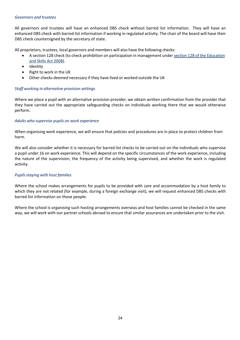#### *Governors and trustees*

All governors and trustees will have an enhanced DBS check without barred list information. They will have an enhanced DBS check with barred list information if working in regulated activity. The chair of the board will have their DBS check countersigned by the secretary of state.

All proprietors, trustees, local governors and members will also have the following checks:

- A section 128 check (to check prohibition on participation in management under section 128 of the Education and Skills Act 2008).
- Identity
- Right to work in the UK
- Other checks deemed necessary if they have lived or worked outside the UK

# *Staff working in alternative provision settings*

Where we place a pupil with an alternative provision provider, we obtain written confirmation from the provider that they have carried out the appropriate safeguarding checks on individuals working there that we would otherwise perform.

#### *Adults who supervise pupils on work experience*

When organising work experience, we will ensure that policies and procedures are in place to protect children from harm.

We will also consider whether it is necessary for barred list checks to be carried out on the individuals who supervise a pupil under 16 on work experience. This will depend on the specific circumstances of the work experience, including the nature of the supervision, the frequency of the activity being supervised, and whether the work is regulated activity.

# *Pupilsstaying with host families*

Where the school makes arrangements for pupils to be provided with care and accommodation by a host family to which they are not related (for example, during a foreign exchange visit), we will request enhanced DBS checks with barred list information on those people.

Where the school is organising such hosting arrangements overseas and host families cannot be checked in the same way, we will work with our partner schools abroad to ensure that similar assurances are undertaken prior to the visit.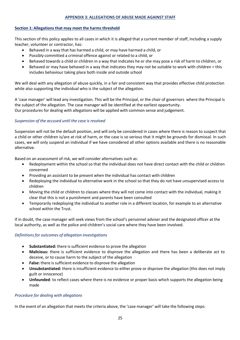# **APPENDIX 3: ALLEGATIONS OF ABUSE MADE AGAINST STAFF**

#### **Section 1: Allegations that may meet the harms threshold**

This section of this policy applies to all cases in which it is alleged that a current member of staff, including a supply teacher, volunteer or contractor, has:

- Behaved in a way that has harmed a child, or may have harmed a child, or
- Possibly committed a criminal offence against or related to a child, or
- Behaved towards a child or children in a way that indicates he or she may pose a risk of harm to children, or
- Behaved or may have behaved in a way that indicates they may not be suitable to work with children = this includes behaviour taking place both inside and outside school

We will deal with any allegation of abuse quickly, in a fair and consistent way that provides effective child protection while also supporting the individual who is the subject of the allegation.

A 'case manager' will lead any investigation. This will be the Principal, or the chair of governors where the Principal is the subject of the allegation. The case manager will be identified at the earliest opportunity. Our procedures for dealing with allegations will be applied with common sense and judgement.

#### *Suspension of the accused until the case is resolved*

Suspension will not be the default position, and will only be considered in cases where there is reason to suspect that a child or other children is/are at risk of harm, or the case is so serious that it might be grounds for dismissal. In such cases, we will only suspend an individual if we have considered all other options available and there is no reasonable alternative.

Based on an assessment of risk, we will consider alternatives such as:

- Redeployment within the school so that the individual does not have direct contact with the child or children concerned
- Providing an assistant to be present when the individual has contact with children
- Redeploying the individual to alternative work in the school so that they do not have unsupervised access to children
- Moving the child or children to classes where they will not come into contact with the individual, making it clear that this is not a punishment and parents have been consulted
- Temporarily redeploying the individual to another role in a different location, for example to an alternative school within the Trust.

If in doubt, the case manager will seek views from the school's personnel adviser and the designated officer at the local authority, as well as the police and children's social care where they have been involved.

#### *Definitionsfor outcomes of allegation investigations*

- **Substantiated:** there is sufficient evidence to prove the allegation
- **Malicious:** there is sufficient evidence to disprove the allegation and there has been a deliberate act to deceive, or to cause harm to the subject of the allegation
- **False:** there is sufficient evidence to disprove the allegation
- **Unsubstantiated:** there is insufficient evidence to either prove or disprove the allegation (this does not imply guilt or innocence)
- **Unfounded**: to reflect cases where there is no evidence or proper basis which supports the allegation being made

#### *Procedure for dealing with allegations*

In the event of an allegation that meets the criteria above, the 'case manager' will take the following steps: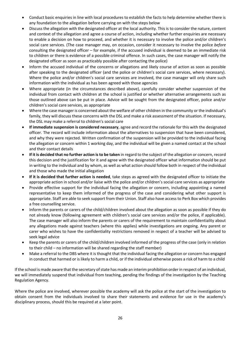- Conduct basic enquiries in line with local procedures to establish the facts to help determine whether there is any foundation to the allegation before carrying on with the steps below
- Discuss the allegation with the designated officer at the local authority. This is to consider the nature, content and context of the allegation and agree a course of action, including whether further enquiries are necessary to enable a decision on how to proceed, and whether it is necessary to involve the police and/or children's social care services. (The case manager may, on occasion, consider it necessary to involve the police *before*  consulting the designated officer – for example, if the accused individual is deemed to be an immediate risk to children or there is evidence of a possible criminal offence. In such cases, the case manager will notify the designated officer as soon as practicably possible after contacting the police)
- Inform the accused individual of the concerns or allegations and likely course of action as soon as possible after speaking to the designated officer (and the police or children's social care services, where necessary). Where the police and/or children's social care services are involved, the case manager will only share such information with the individual as has been agreed with those agencies
- Where appropriate (in the circumstances described above), carefully consider whether suspension of the individual from contact with children at the school is justified or whether alternative arrangements such as those outlined above can be put in place. Advice will be sought from the designated officer, police and/or children's social care services, as appropriate
- Where the case manager is concerned about the welfare of other children in the community or the individual's family, they will discuss these concerns with the DSL and make a risk assessment of the situation. If necessary, the DSL may make a referral to children's social care
- **If immediate suspension is considered necessary**, agree and record the rationale for this with the designated officer. The record will include information about the alternatives to suspension that have been considered, and why they were rejected. Written confirmation of the suspension will be provided to the individual facing the allegation or concern within 1 working day, and the individual will be given a named contact at the school and their contact details
- **If it is decided that no further action isto be taken** in regard to the subject of the allegation or concern, record this decision and the justification for it and agree with the designated officer what information should be put in writing to the individual and by whom, as well as what action should follow both in respect of the individual and those who made the initial allegation
- **If it is decided that further action is needed**, take steps as agreed with the designated officer to initiate the appropriate action in school and/or liaise with the police and/or children's social care services as appropriate
- Provide effective support for the individual facing the allegation or concern, including appointing a named representative to keep them informed of the progress of the case and considering what other support is appropriate. Staff are able to seek support from their Union. Staff also have access to Perk Box which provides a free counselling service.
- Inform the parents or carers of the child/children involved about the allegation as soon as possible if they do not already know (following agreement with children's social care services and/or the police, if applicable). The case manager will also inform the parents or carers of the requirement to maintain confidentiality about any allegations made against teachers (where this applies) while investigations are ongoing. Any parent or carer who wishes to have the confidentiality restrictions removed in respect of a teacher will be advised to seek legal advice
- Keep the parents or carers of the child/children involved informed of the progress of the case (only in relation to their child – no information will be shared regarding the staff member)
- Make a referral to the DBS where it is thought that the individual facing the allegation or concern has engaged in conduct that harmed or is likely to harm a child, or if the individual otherwise poses a risk of harm to a child

If the school is made aware that the secretary of state has made an interim prohibition order in respect of an individual, we will immediately suspend that individual from teaching, pending the findings of the investigation by the Teaching Regulation Agency.

Where the police are involved, wherever possible the academy will ask the police at the start of the investigation to obtain consent from the individuals involved to share their statements and evidence for use in the academy's disciplinary process, should this be required at a later point.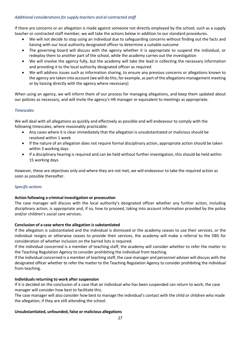# *Additional considerationsforsupply teachers and al contracted staff*

If there are concerns or an allegation is made against someone not directly employed by the school, such as a supply teacher or contracted staff member, we will take the actions below in addition to our standard procedures.

- We will not decide to stop using an individual due to safeguarding concerns without finding out the facts and liaising with our local authority designated officer to determine a suitable outcome
- The governing board will discuss with the agency whether it is appropriate to suspend the individual, or redeploy them to another part of the school, while the academy carries out the investigation
- We will involve the agency fully, but the academy will take the lead in collecting the necessary information and providing it to the local authority designated officer as required
- We will address issues such as information sharing, to ensure any previous concerns or allegations known to the agency are taken into account (we will do this, for example, as part of the allegations management meeting or by liaising directly with the agency where necessary)

When using an agency, we will inform them of our process for managing allegations, and keep them updated about our policies as necessary, and will invite the agency's HR manager or equivalent to meetings as appropriate.

# *Timescales*

We will deal with all allegations as quickly and effectively as possible and will endeavour to comply with the following timescales, where reasonably practicable:

- Any cases where it is clear immediately that the allegation is unsubstantiated or malicious should be resolved within 1 week
- If the nature of an allegation does not require formal disciplinary action, appropriate action should be taken within 3 working days
- If a disciplinary hearing is required and can be held without further investigation, this should be held within 15 working days

However, these are objectives only and where they are not met, we will endeavour to take the required action as soon as possible thereafter.

# *Specific actions*

# **Action following a criminal investigation or prosecution**

The case manager will discuss with the local authority's designated officer whether any further action, including disciplinary action, is appropriate and, if so, how to proceed, taking into account information provided by the police and/or children's social care services.

# **Conclusion of a case where the allegation is substantiated**

If the allegation is substantiated and the individual is dismissed or the academy ceases to use their services, or the individual resigns or otherwise ceases to provide their services, the academy will make a referral to the DBS for consideration of whether inclusion on the barred lists is required.

If the individual concerned is a member of teaching staff, the academy will consider whether to refer the matter to the Teaching Regulation Agency to consider prohibiting the individual from teaching.

If the individual concerned is a member of teaching staff, the case manager and personnel adviser will discuss with the designated officer whether to refer the matter to the Teaching Regulation Agency to consider prohibiting the individual from teaching.

# **Individualsreturning to work after suspension**

If it is decided on the conclusion of a case that an individual who has been suspended can return to work, the case manager will consider how best to facilitate this.

The case manager will also consider how best to manage the individual's contact with the child or children who made the allegation, if they are still attending the school.

# **Unsubstantiated, unfounded, false or malicious allegations**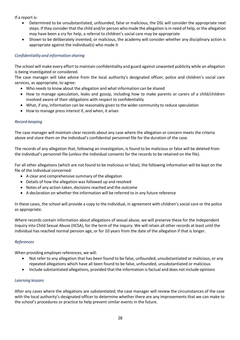If a report is:

- Determined to be unsubstantiated, unfounded, false or malicious, the DSL will consider the appropriate next steps. If they consider that the child and/or person who made the allegation isin need of help, orthe allegation may have been a cry for help, a referral to children's social care may be appropriate
- Shown to be deliberately invented, or malicious, the academy will consider whether any disciplinary action is appropriate against the individual(s) who made it

# *Confidentiality and information sharing*

The school will make every effort to maintain confidentiality and guard against unwanted publicity while an allegation is being investigated or considered.

The case manager will take advice from the local authority's designated officer, police and children's social care services, as appropriate, to agree:

- Who needs to know about the allegation and what information can be shared
- How to manage speculation, leaks and gossip, including how to make parents or carers of a child/children involved aware of their obligations with respect to confidentiality
- What, if any, information can be reasonably given to the wider community to reduce speculation
- How to manage press interest if, and when, it arises

#### *Record-keeping*

The case manager will maintain clear records about any case where the allegation or concern meets the criteria above and store them on the individual's confidential personnel file for the duration of the case.

The records of any allegation that, following an investigation, is found to be malicious or false will be deleted from the individual's personnel file (unless the individual consents for the records to be retained on the file).

For all other allegations (which are not found to be malicious or false), the following information will be kept on the file of the individual concerned:

- A clear and comprehensive summary of the allegation
- Details of how the allegation was followed up and resolved
- Notes of any action taken, decisions reached and the outcome
- A declaration on whether the information will be referred to in any future reference

In these cases, the school will provide a copy to the individual, in agreement with children's social care or the police as appropriate.

Where records contain information about allegations of sexual abuse, we will preserve these for the Independent Inquiry into Child Sexual Abuse (IICSA), for the term of the inquiry. We will retain all other records at least until the individual has reached normal pension age, or for 10 years from the date of the allegation if that is longer.

#### *References*

When providing employer references, we will:

- Not refer to any allegation that has been found to be false, unfounded, unsubstantiated or malicious, or any repeated allegations which have all been found to be false, unfounded, unsubstantiated or malicious
- Include substantiated allegations, provided that the information is factual and does not include opinions

#### *Learning lessons*

After any cases where the allegations are *substantiated*, the case manager will review the circumstances of the case with the local authority's designated officer to determine whether there are any improvements that we can make to the school's procedures or practice to help prevent similar events in the future.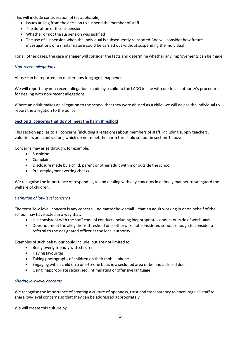This will include consideration of (as applicable):

- Issues arising from the decision to suspend the member of staff
- The duration of the suspension
- Whether or not the suspension was justified
- The use of suspension when the individual is subsequently reinstated. We will consider how future investigations of a similar nature could be carried out without suspending the individual

For all other cases, the case manager will consider the facts and determine whether any improvements can be made.

#### *Non-recent allegations*

Abuse can be reported, no matter how long ago it happened.

We will report any non-recent allegations made by a child to the LADO in line with our local authority's procedures for dealing with non-recent allegations.

Where an adult makes an allegation to the school that they were abused as a child, we will advise the individual to report the allegation to the police.

# **Section 2: concerns that do not meet the harm threshold**

This section applies to all concerns (including allegations) about members of staff, including supply teachers, volunteers and contractors, which do not meet the harm threshold set out in section 1 above.

Concerns may arise through, for example:

- Suspicion
- Complaint
- Disclosure made by a child, parent or other adult within or outside the school
- Pre-employment vetting checks

We recognise the importance of responding to and dealing with any concerns in a timely manner to safeguard the welfare of children.

# *Definition of low-level concerns*

The term 'low-level' concern is any concern – no matter how small – that an adult working in or on behalf of the school may have acted in a way that:

- Isinconsistent with the staff code of conduct, including inappropriate conduct outside of work, **and**
- Does not meet the allegations threshold or is otherwise not considered serious enough to consider a referral to the designated officer at the local authority

Examples of such behaviour could include, but are not limited to:

- Being overly friendly with children
- Having favourites
- Taking photographs of children on their mobile phone
- Engaging with a child on a one-to-one basis in a secluded area or behind a closed door
- Using inappropriate sexualised, intimidating or offensive language

#### *Sharing low-level concerns*

We recognise the importance of creating a culture of openness, trust and transparency to encourage all staff to share low-level concerns so that they can be addressed appropriately.

We will create this culture by: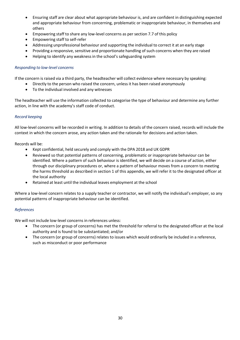- Ensuring staff are clear about what appropriate behaviour is, and are confident in distinguishing expected and appropriate behaviour from concerning, problematic or inappropriate behaviour, in themselves and others
- Empowering staff to share any low-level concerns as per section 7.7 of this policy
- Empowering staff to self-refer
- Addressing unprofessional behaviour and supporting the individual to correct it at an early stage
- Providing a responsive, sensitive and proportionate handling of such concerns when they are raised
- Helping to identify any weaknessin the school's safeguarding system

#### *Responding to low-level concerns*

If the concern is raised via a third party, the headteacher will collect evidence where necessary by speaking:

- Directly to the person who raised the concern, unless it has been raised anonymously
- To the individual involved and any witnesses

The headteacher will use the information collected to categorise the type of behaviour and determine any further action, in line with the academy's staff code of conduct.

#### *Record keeping*

All low-level concerns will be recorded in writing. In addition to details of the concern raised, records will include the context in which the concern arose, any action taken and the rationale for decisions and action taken.

Records will be:

- Kept confidential, held securely and comply with the DPA 2018 and UK GDPR
- Reviewed so that potential patterns of concerning, problematic or inappropriate behaviour can be identified. Where a pattern of such behaviour is identified, we will decide on a course of action, either through our disciplinary procedures or, where a pattern of behaviour moves from a concern to meeting the harms threshold as described in section 1 of this appendix, we will refer it to the designated officer at the local authority
- Retained at least until the individual leaves employment at the school

Where a low-level concern relates to a supply teacher or contractor, we will notify the individual's employer, so any potential patterns of inappropriate behaviour can be identified.

#### *References*

We will not include low-level concerns in references unless:

- The concern (or group of concerns) has met the threshold for referral to the designated officer at the local authority and is found to be substantiated; and/or
- The concern (or group of concerns) relates to issues which would ordinarily be included in a reference, such as misconduct or poor performance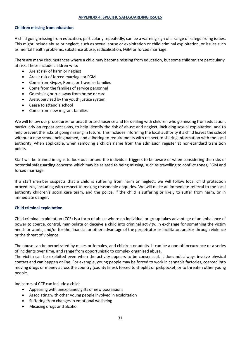# **Children missing from education**

A child going missing from education, particularly repeatedly, can be a warning sign of a range of safeguarding issues. This might include abuse or neglect, such as sexual abuse or exploitation or child criminal exploitation, or issues such as mental health problems, substance abuse, radicalisation, FGM or forced marriage.

There are many circumstances where a child may become missing from education, but some children are particularly at risk. These include children who:

- Are at risk of harm or neglect
- Are at risk of forced marriage or FGM
- Come from Gypsy, Roma, or Traveller families
- Come from the families of service personnel
- Go missing or run away from home or care
- Are supervised by the youth justice system
- Cease to attend a school
- Come from new migrant families

We will follow our procedures for unauthorised absence and for dealing with children who go missing from education, particularly on repeat occasions, to help identify the risk of abuse and neglect, including sexual exploitation, and to help prevent the risks of going missing in future. This includes informing the local authority if a child leaves the school without a new school being named, and adhering to requirements with respect to sharing information with the local authority, when applicable, when removing a child's name from the admission register at non-standard transition points.

Staff will be trained in signs to look out for and the individual triggers to be aware of when considering the risks of potential safeguarding concerns which may be related to being missing, such as travelling to conflict zones, FGM and forced marriage.

If a staff member suspects that a child is suffering from harm or neglect, we will follow local child protection procedures, including with respect to making reasonable enquiries. We will make an immediate referral to the local authority children's social care team, and the police, if the child is suffering or likely to suffer from harm, or in immediate danger.

#### **Child criminal exploitation**

Child criminal exploitation (CCE) is a form of abuse where an individual or group takes advantage of an imbalance of power to coerce, control, manipulate or deceive a child into criminal activity, in exchange for something the victim needs or wants, and/or for the financial or other advantage of the perpetrator or facilitator, and/or through violence or the threat of violence.

The abuse can be perpetrated by males or females, and children or adults. It can be a one-off occurrence or a series of incidents over time, and range from opportunistic to complex organised abuse.

The victim can be exploited even when the activity appears to be consensual. It does not always involve physical contact and can happen online. For example, young people may be forced to work in cannabis factories, coerced into moving drugs or money across the country (county lines), forced to shoplift or pickpocket, or to threaten other young people.

Indicators of CCE can include a child:

- Appearing with unexplained gifts or new possessions
- Associating with other young people involved in exploitation
- Suffering from changes in emotional wellbeing
- Misusing drugs and alcohol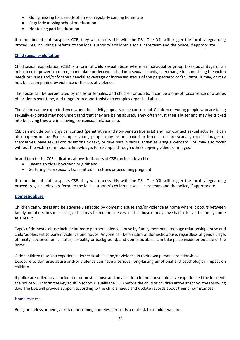- Going missing for periods of time or regularly coming home late
- Regularly missing school or education
- Not taking part in education

If a member of staff suspects CCE, they will discuss this with the DSL. The DSL will trigger the local safeguarding procedures, including a referral to the local authority's children's social care team and the police, if appropriate.

#### **Child sexual exploitation**

Child sexual exploitation (CSE) is a form of child sexual abuse where an individual or group takes advantage of an imbalance of power to coerce, manipulate or deceive a child into sexual activity, in exchange for something the victim needs or wants and/or for the financial advantage or increased status of the perpetrator or facilitator. It may, or may not, be accompanied by violence or threats of violence.

The abuse can be perpetrated by males or females, and children or adults. It can be a one-off occurrence or a series of incidents over time, and range from opportunistic to complex organised abuse.

The victim can be exploited even when the activity appears to be consensual. Children or young people who are being sexually exploited may not understand that they are being abused. They often trust their abuser and may be tricked into believing they are in a loving, consensual relationship.

CSE can include both physical contact (penetrative and non-penetrative acts) and non-contact sexual activity. It can also happen online. For example, young people may be persuaded or forced to share sexually explicit images of themselves, have sexual conversations by text, or take part in sexual activities using a webcam. CSE may also occur without the victim's immediate knowledge, for example through others copying videos or images.

In addition to the CCE indicators above, indicators of CSE can include a child:

- Having an older boyfriend or girlfriend
- Suffering from sexually transmitted infections or becoming pregnant

If a member of staff suspects CSE, they will discuss this with the DSL. The DSL will trigger the local safeguarding procedures, including a referral to the local authority's children's social care team and the police, if appropriate.

#### **Domestic abuse**

Children can witness and be adversely affected by domestic abuse and/or violence at home where it occurs between family members. In some cases, a child may blame themselves for the abuse or may have had to leave the family home as a result.

Types of domestic abuse include intimate partner violence, abuse by family members, teenage relationship abuse and child/adolescent to parent violence and abuse. Anyone can be a victim of domestic abuse, regardless of gender, age, ethnicity, socioeconomic status, sexuality or background, and domestic abuse can take place inside or outside of the home.

Older children may also experience domestic abuse and/or violence in their own personal relationships. Exposure to domestic abuse and/or violence can have a serious, long-lasting emotional and psychological impact on children.

If police are called to an incident of domestic abuse and any children in the household have experienced the incident, the police will inform the key adult in school (usually the DSL) before the child or children arrive atschool the following day. The DSL will provide support according to the child's needs and update records about their circumstances.

#### **Homelessness**

Being homeless or being at risk of becoming homeless presents a real risk to a child's welfare.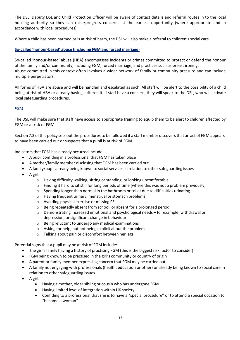The DSL, Deputy DSL and Child Protection Officer will be aware of contact details and referral routes in to the local housing authority so they can raise/progress concerns at the earliest opportunity (where appropriate and in accordance with local procedures).

Where a child has been harmed or is at risk of harm, the DSL will also make a referral to children's social care.

# **So-called 'honour-based' abuse (including FGM and forced marriage)**

So-called 'honour-based' abuse (HBA) encompasses incidents or crimes committed to protect or defend the honour of the family and/or community, including FGM, forced marriage, and practices such as breast ironing. Abuse committed in this context often involves a wider network of family or community pressure and can include multiple perpetrators.

All forms of HBA are abuse and will be handled and escalated as such. All staff will be alert to the possibility of a child being at risk of HBA or already having suffered it. If staff have a concern, they will speak to the DSL, who will activate local safeguarding procedures.

#### *FGM*

The DSL will make sure that staff have access to appropriate training to equip them to be alert to children affected by FGM or at risk of FGM.

Section 7.3 of this policy sets out the procedures to be followed if a staff member discovers that an act of FGM appears to have been carried out or suspects that a pupil is at risk of FGM.

Indicators that FGM has already occurred include:

- A pupil confiding in a professional that FGM has taken place
- A mother/family member disclosing that FGM has been carried out
- A family/pupil already being known to social services in relation to other safeguarding issues
- A girl:
	- o Having difficulty walking, sitting or standing, or looking uncomfortable
	- $\circ$  Finding it hard to sit still for long periods of time (where this was not a problem previously)
	- $\circ$  Spending longer than normal in the bathroom or toilet due to difficulties urinating
	- o Having frequent urinary, menstrual or stomach problems
	- o Avoiding physical exercise or missing PE
	- o Being repeatedly absent from school, or absent for a prolonged period
	- $\circ$  Demonstrating increased emotional and psychological needs for example, withdrawal or depression, or significant change in behaviour
	- o Being reluctant to undergo any medical examinations
	- o Asking for help, but not being explicit about the problem
	- o Talking about pain or discomfort between her legs

Potential signs that a pupil may be at risk of FGM include:

- The girl's family having a history of practising FGM (this is the biggest risk factor to consider)
- FGM being known to be practised in the girl's community or country of origin
- A parent or family member expressing concern that FGM may be carried out
- A family not engaging with professionals (health, education or other) or already being known to social care in relation to other safeguarding issues
- A girl:
	- Having a mother, older sibling or cousin who has undergone FGM
	- Having limited level of integration within UK society
	- Confiding to a professional that she is to have a "special procedure" or to attend a special occasion to "become a woman"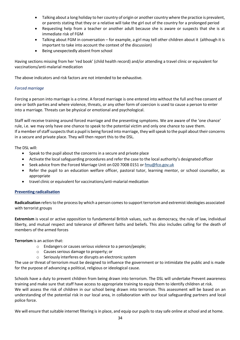- Talking about a long holiday to her country of origin or another country where the practice is prevalent, or parents stating that they or a relative will take the girl out of the country for a prolonged period
- Requesting help from a teacher or another adult because she is aware or suspects that she is at immediate risk of FGM
- Talking about FGM in conversation for example, a girl may tell other children about it (although it is important to take into account the context of the discussion)
- Being unexpectedly absent from school

Having sections missing from her 'red book' (child health record) and/or attending a travel clinic or equivalent for vaccinations/anti-malarial medication

The above indicators and risk factors are not intended to be exhaustive.

# *Forced marriage*

Forcing a person into marriage is a crime. A forced marriage is one entered into without the full and free consent of one or both parties and where violence, threats, or any other form of coercion is used to cause a person to enter into a marriage. Threats can be physical or emotional and psychological.

Staff will receive training around forced marriage and the presenting symptoms. We are aware of the 'one chance' rule, i.e. we may only have one chance to speak to the potential victim and only one chance to save them. If a member of staff suspects that a pupil is being forced into marriage, they will speak to the pupil about their concerns in a secure and private place. They will then report this to the DSL.

The DSL will:

- Speak to the pupil about the concerns in a secure and private place
- Activate the local safeguarding procedures and refer the case to the local authority's designated officer
- Seek advice from the Forced Marriage Unit on 020 7008 0151 or fmu@fco.gov.uk
- Refer the pupil to an education welfare officer, pastoral tutor, learning mentor, or school counsellor, as appropriate
- travel clinic or equivalent for vaccinations/anti-malarial medication

#### **Preventing radicalisation**

**Radicalisation** refersto the process by which a person comesto support terrorism and extremist ideologies associated with terrorist groups

**Extremism** is vocal or active opposition to fundamental British values, such as democracy, the rule of law, individual liberty, and mutual respect and tolerance of different faiths and beliefs. This also includes calling for the death of members of the armed forces

#### **Terrorism** is an action that:

- o Endangers or causes serious violence to a person/people;
- $\circ$  Causes serious damage to property; or
- o Seriously interferes or disrupts an electronic system

The use or threat of terrorism must be designed to influence the government or to intimidate the public and is made for the purpose of advancing a political, religious or ideological cause.

Schools have a duty to prevent children from being drawn into terrorism. The DSL will undertake Prevent awareness training and make sure that staff have access to appropriate training to equip them to identify children at risk. We will assess the risk of children in our school being drawn into terrorism. This assessment will be based on an understanding of the potential risk in our local area, in collaboration with our local safeguarding partners and local police force.

We will ensure that suitable internet filtering is in place, and equip our pupils to stay safe online at school and at home.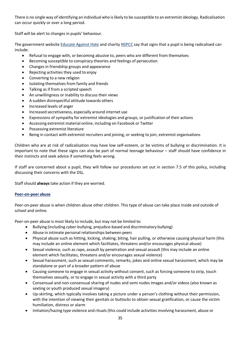There is no single way of identifying an individual who islikely to be susceptible to an extremist ideology. Radicalisation can occur quickly or over a long period.

Staff will be alert to changes in pupils' behaviour.

The government website Educate Against Hate and charity NSPCC say that signs that a pupil is being radicalised can include:

- Refusal to engage with, or becoming abusive to, peers who are different from themselves
- Becoming susceptible to conspiracy theories and feelings of persecution
- Changes in friendship groups and appearance
- Rejecting activities they used to enjoy
- Converting to a new religion
- Isolating themselves from family and friends
- Talking as if from a scripted speech
- An unwillingness or inability to discuss their views
- A sudden disrespectful attitude towards others
- Increased levels of anger
- Increased secretiveness, especially around internet use
- Expressions of sympathy for extremist ideologies and groups, or justification of their actions
- Accessing extremist material online, including on Facebook or Twitter
- Possessing extremist literature
- Being in contact with extremist recruiters and joining, or seeking to join, extremist organisations

Children who are at risk of radicalisation may have low self-esteem, or be victims of bullying or discrimination. It is important to note that these signs can also be part of normal teenage behaviour – staff should have confidence in their instincts and seek advice if something feels wrong.

If staff are concerned about a pupil, they will follow our procedures set out in section 7.5 of this policy, including discussing their concerns with the DSL.

Staff should **always** take action if they are worried.

# **Peer-on-peer abuse**

Peer-on-peer abuse is when children abuse other children. This type of abuse can take place inside and outside of school and online.

Peer-on-peer abuse is most likely to include, but may not be limited to:

- Bullying (including cyber-bullying, prejudice-based and discriminatory bullying)
- Abuse in intimate personal relationships between peers
- Physical abuse such as hitting, kicking, shaking, biting, hair pulling, or otherwise causing physical harm (this may include an online element which facilitates, threatens and/or encourages physical abuse)
- Sexual violence, such as rape, assault by penetration and sexual assault (this may include an online element which facilitates, threatens and/or encourages sexual violence)
- Sexual harassment, such as sexual comments, remarks, jokes and online sexual harassment, which may be standalone or part of a broader pattern of abuse
- Causing someone to engage in sexual activity without consent, such as forcing someone to strip, touch themselves sexually, or to engage in sexual activity with a third party
- Consensual and non-consensual sharing of nudes and semi nudes images and/or videos (also known as sexting or youth produced sexual imagery)
- Up-skirting, which typically involves taking a picture under a person's clothing without their permission, with the intention of viewing their genitals or buttocks to obtain sexual gratification, or cause the victim humiliation, distress or alarm
- Initiation/hazing type violence and rituals (this could include activities involving harassment, abuse or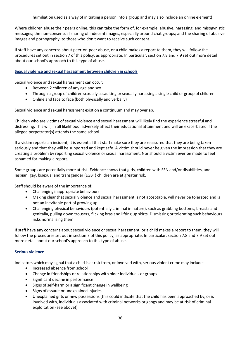humiliation used as a way of initiating a person into a group and may also include an online element)

Where children abuse their peers online, this can take the form of, for example, abusive, harassing, and misogynistic messages; the non-consensual sharing of indecent images, especially around chat groups; and the sharing of abusive images and pornography, to those who don't want to receive such content.

If staff have any concerns about peer-on-peer abuse, or a child makes a report to them, they will follow the procedures set out in section 7 of this policy, as appropriate. In particular, section 7.8 and 7.9 set out more detail about our school's approach to this type of abuse.

# **Sexual violence and sexual harassment between children in schools**

Sexual violence and sexual harassment can occur:

- Between 2 children of any age and sex
- Through a group of children sexually assaulting or sexually harassing a single child or group of children
- Online and face to face (both physically and verbally)

Sexual violence and sexual harassment exist on a continuum and may overlap.

Children who are victims of sexual violence and sexual harassment will likely find the experience stressful and distressing. This will, in all likelihood, adversely affect their educational attainment and will be exacerbated if the alleged perpetrator(s) attends the same school.

If a victim reports an incident, it is essential that staff make sure they are reassured that they are being taken seriously and that they will be supported and kept safe. A victim should never be given the impression that they are creating a problem by reporting sexual violence or sexual harassment. Nor should a victim ever be made to feel ashamed for making a report.

Some groups are potentially more at risk. Evidence shows that girls, children with SEN and/or disabilities, and lesbian, gay, bisexual and transgender (LGBT) children are at greater risk.

Staff should be aware of the importance of:

- Challenging inappropriate behaviours
- Making clear that sexual violence and sexual harassment is not acceptable, will never be tolerated and is not an inevitable part of growing up
- Challenging physical behaviours (potentially criminal in nature), such as grabbing bottoms, breasts and genitalia, pulling down trousers, flicking bras and lifting up skirts. Dismissing or tolerating such behaviours risks normalising them

If staff have any concerns about sexual violence or sexual harassment, or a child makes a report to them, they will follow the procedures set out in section 7 of this policy, as appropriate. In particular, section 7.8 and 7.9 set out more detail about our school's approach to this type of abuse.

#### **Serious violence**

Indicators which may signal that a child is at risk from, or involved with, serious violent crime may include:

- Increased absence from school
- Change in friendships or relationships with older individuals or groups
- Significant decline in performance
- Signs of self-harm or a significant change in wellbeing
- Signs of assault or unexplained injuries
- Unexplained gifts or new possessions (this could indicate that the child has been approached by, or is involved with, individuals associated with criminal networks or gangs and may be at risk of criminal exploitation (see above))